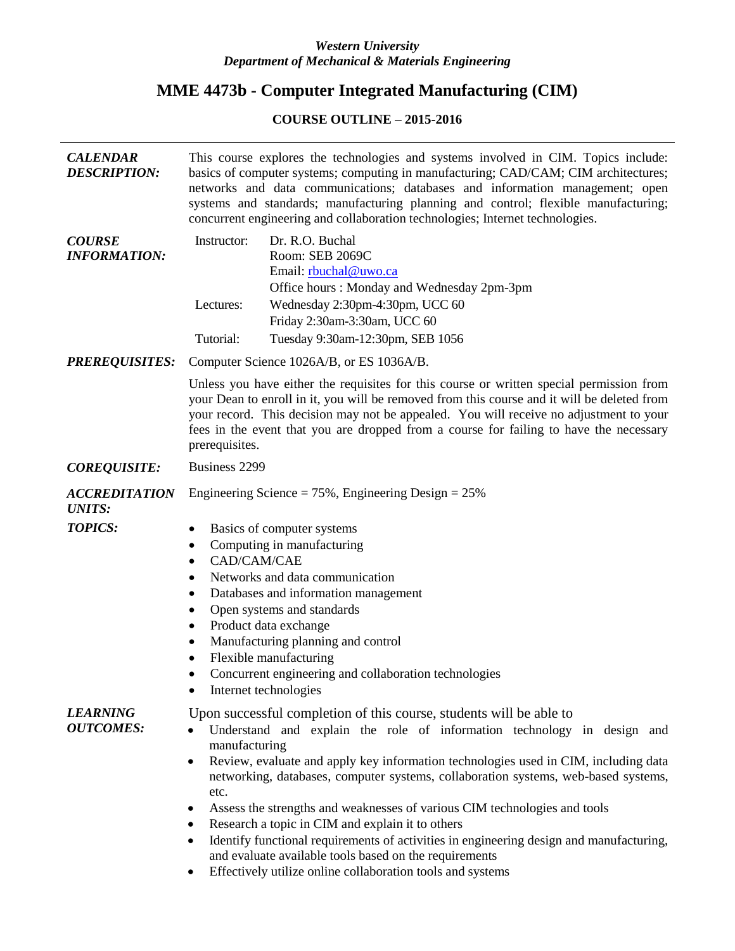# *Western University Department of Mechanical & Materials Engineering*

# **MME 4473b - Computer Integrated Manufacturing (CIM)**

# **COURSE OUTLINE – 2015-2016**

| <b>CALENDAR</b><br><b>DESCRIPTION:</b> | This course explores the technologies and systems involved in CIM. Topics include:<br>basics of computer systems; computing in manufacturing; CAD/CAM; CIM architectures;<br>networks and data communications; databases and information management; open<br>systems and standards; manufacturing planning and control; flexible manufacturing;<br>concurrent engineering and collaboration technologies; Internet technologies.                                                                                                                                                                                                                                                                                                                                               |  |  |  |  |
|----------------------------------------|--------------------------------------------------------------------------------------------------------------------------------------------------------------------------------------------------------------------------------------------------------------------------------------------------------------------------------------------------------------------------------------------------------------------------------------------------------------------------------------------------------------------------------------------------------------------------------------------------------------------------------------------------------------------------------------------------------------------------------------------------------------------------------|--|--|--|--|
| <b>COURSE</b><br><b>INFORMATION:</b>   | Dr. R.O. Buchal<br>Instructor:<br>Room: SEB 2069C<br>Email: rbuchal@uwo.ca<br>Office hours: Monday and Wednesday 2pm-3pm<br>Wednesday 2:30pm-4:30pm, UCC 60<br>Lectures:<br>Friday 2:30am-3:30am, UCC 60<br>Tutorial:<br>Tuesday 9:30am-12:30pm, SEB 1056                                                                                                                                                                                                                                                                                                                                                                                                                                                                                                                      |  |  |  |  |
| <b>PREREQUISITES:</b>                  | Computer Science 1026A/B, or ES 1036A/B.                                                                                                                                                                                                                                                                                                                                                                                                                                                                                                                                                                                                                                                                                                                                       |  |  |  |  |
|                                        | Unless you have either the requisites for this course or written special permission from<br>your Dean to enroll in it, you will be removed from this course and it will be deleted from<br>your record. This decision may not be appealed. You will receive no adjustment to your<br>fees in the event that you are dropped from a course for failing to have the necessary<br>prerequisites.                                                                                                                                                                                                                                                                                                                                                                                  |  |  |  |  |
| <b>COREQUISITE:</b>                    | Business 2299                                                                                                                                                                                                                                                                                                                                                                                                                                                                                                                                                                                                                                                                                                                                                                  |  |  |  |  |
| <b>ACCREDITATION</b><br><b>UNITS:</b>  | Engineering Science = $75\%$ , Engineering Design = $25\%$                                                                                                                                                                                                                                                                                                                                                                                                                                                                                                                                                                                                                                                                                                                     |  |  |  |  |
| <b>TOPICS:</b>                         | Basics of computer systems<br>٠<br>Computing in manufacturing<br>٠<br>CAD/CAM/CAE<br>٠<br>Networks and data communication<br>٠<br>Databases and information management<br>$\bullet$<br>Open systems and standards<br>٠<br>Product data exchange<br>٠<br>Manufacturing planning and control<br>٠<br>Flexible manufacturing<br>$\bullet$<br>Concurrent engineering and collaboration technologies<br>Internet technologies                                                                                                                                                                                                                                                                                                                                                       |  |  |  |  |
| <b>LEARNING</b><br><b>OUTCOMES:</b>    | Upon successful completion of this course, students will be able to<br>Understand and explain the role of information technology in design and<br>$\bullet$<br>manufacturing<br>Review, evaluate and apply key information technologies used in CIM, including data<br>$\bullet$<br>networking, databases, computer systems, collaboration systems, web-based systems,<br>etc.<br>Assess the strengths and weaknesses of various CIM technologies and tools<br>٠<br>Research a topic in CIM and explain it to others<br>$\bullet$<br>Identify functional requirements of activities in engineering design and manufacturing,<br>$\bullet$<br>and evaluate available tools based on the requirements<br>Effectively utilize online collaboration tools and systems<br>$\bullet$ |  |  |  |  |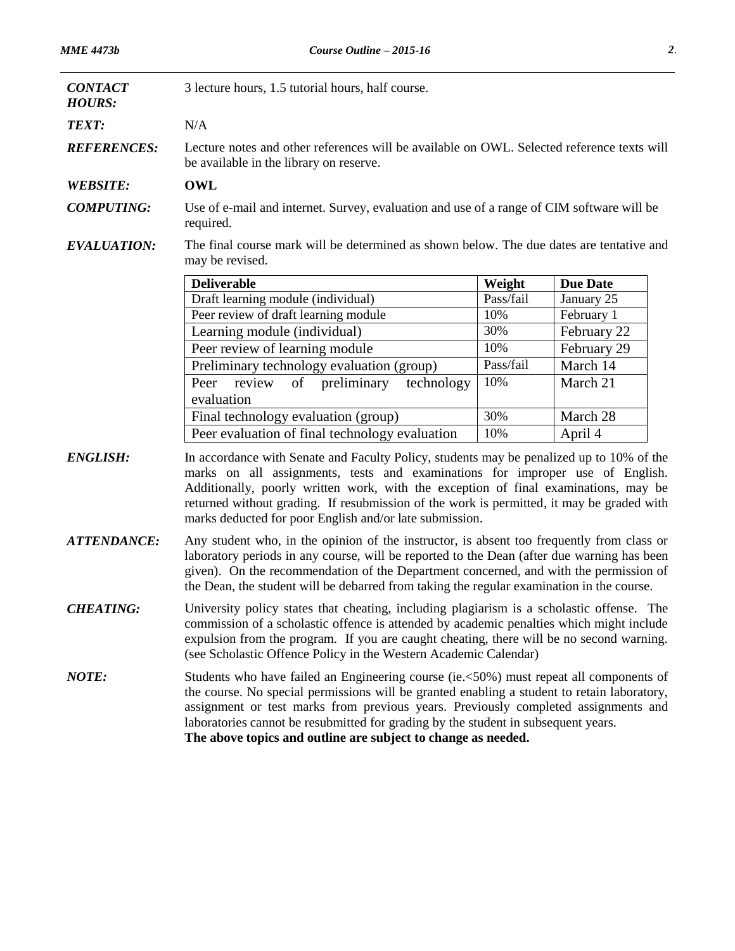| <b>CONTACT</b><br><b>HOURS:</b> | 3 lecture hours, 1.5 tutorial hours, half course.                                                                                                                                                                                                                                                                                                                                                                                  |           |                 |  |  |  |
|---------------------------------|------------------------------------------------------------------------------------------------------------------------------------------------------------------------------------------------------------------------------------------------------------------------------------------------------------------------------------------------------------------------------------------------------------------------------------|-----------|-----------------|--|--|--|
| <b>TEXT:</b>                    | N/A                                                                                                                                                                                                                                                                                                                                                                                                                                |           |                 |  |  |  |
| <b>REFERENCES:</b>              | Lecture notes and other references will be available on OWL. Selected reference texts will<br>be available in the library on reserve.                                                                                                                                                                                                                                                                                              |           |                 |  |  |  |
| <b>WEBSITE:</b>                 | <b>OWL</b>                                                                                                                                                                                                                                                                                                                                                                                                                         |           |                 |  |  |  |
| <b>COMPUTING:</b>               | Use of e-mail and internet. Survey, evaluation and use of a range of CIM software will be<br>required.                                                                                                                                                                                                                                                                                                                             |           |                 |  |  |  |
| <b>EVALUATION:</b>              | The final course mark will be determined as shown below. The due dates are tentative and<br>may be revised.                                                                                                                                                                                                                                                                                                                        |           |                 |  |  |  |
|                                 | <b>Deliverable</b>                                                                                                                                                                                                                                                                                                                                                                                                                 | Weight    | <b>Due Date</b> |  |  |  |
|                                 | Draft learning module (individual)                                                                                                                                                                                                                                                                                                                                                                                                 | Pass/fail | January 25      |  |  |  |
|                                 | Peer review of draft learning module                                                                                                                                                                                                                                                                                                                                                                                               | 10%       | February 1      |  |  |  |
|                                 | Learning module (individual)                                                                                                                                                                                                                                                                                                                                                                                                       | 30%       | February 22     |  |  |  |
|                                 | Peer review of learning module                                                                                                                                                                                                                                                                                                                                                                                                     | 10%       | February 29     |  |  |  |
|                                 | Preliminary technology evaluation (group)                                                                                                                                                                                                                                                                                                                                                                                          | Pass/fail | March 14        |  |  |  |
|                                 | of preliminary<br>technology<br>Peer<br>review<br>evaluation                                                                                                                                                                                                                                                                                                                                                                       | 10%       | March 21        |  |  |  |
|                                 | Final technology evaluation (group)                                                                                                                                                                                                                                                                                                                                                                                                | 30%       | March 28        |  |  |  |
|                                 | Peer evaluation of final technology evaluation                                                                                                                                                                                                                                                                                                                                                                                     | 10%       | April 4         |  |  |  |
| <b>ENGLISH:</b>                 | In accordance with Senate and Faculty Policy, students may be penalized up to 10% of the<br>marks on all assignments, tests and examinations for improper use of English.<br>Additionally, poorly written work, with the exception of final examinations, may be<br>returned without grading. If resubmission of the work is permitted, it may be graded with<br>marks deducted for poor English and/or late submission.           |           |                 |  |  |  |
| <b>ATTENDANCE:</b>              | Any student who, in the opinion of the instructor, is absent too frequently from class or<br>laboratory periods in any course, will be reported to the Dean (after due warning has been<br>given). On the recommendation of the Department concerned, and with the permission of<br>the Dean, the student will be debarred from taking the regular examination in the course.                                                      |           |                 |  |  |  |
| <b>CHEATING:</b>                | University policy states that cheating, including plagiarism is a scholastic offense. The<br>commission of a scholastic offence is attended by academic penalties which might include<br>expulsion from the program. If you are caught cheating, there will be no second warning.<br>(see Scholastic Offence Policy in the Western Academic Calendar)                                                                              |           |                 |  |  |  |
| <b>NOTE:</b>                    | Students who have failed an Engineering course (ie.<50%) must repeat all components of<br>the course. No special permissions will be granted enabling a student to retain laboratory,<br>assignment or test marks from previous years. Previously completed assignments and<br>laboratories cannot be resubmitted for grading by the student in subsequent years.<br>The above topics and outline are subject to change as needed. |           |                 |  |  |  |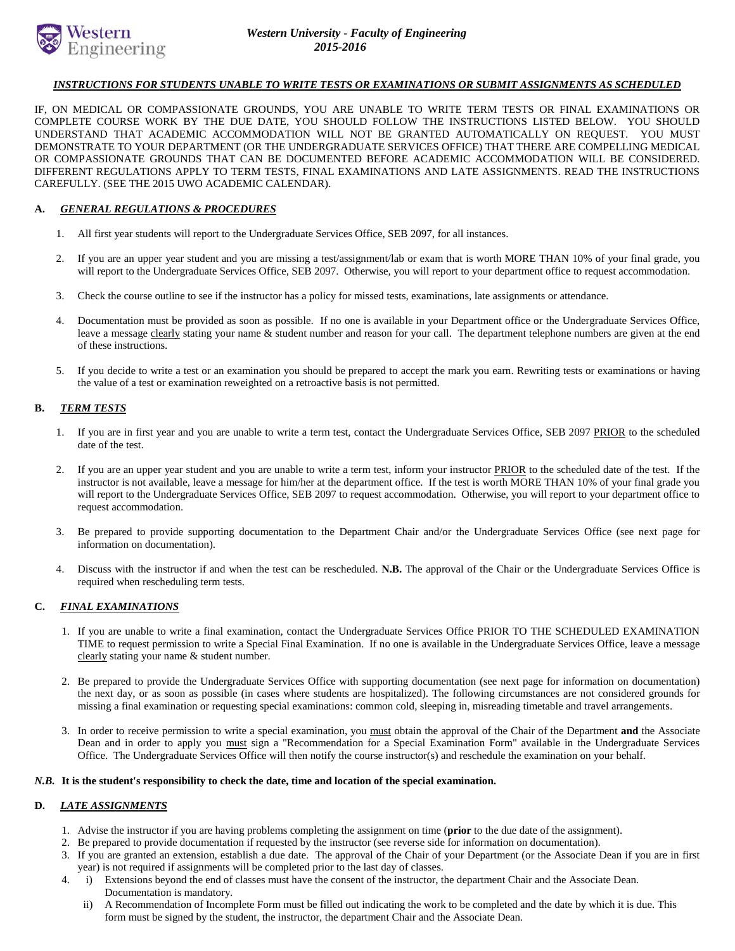

# *INSTRUCTIONS FOR STUDENTS UNABLE TO WRITE TESTS OR EXAMINATIONS OR SUBMIT ASSIGNMENTS AS SCHEDULED*

IF, ON MEDICAL OR COMPASSIONATE GROUNDS, YOU ARE UNABLE TO WRITE TERM TESTS OR FINAL EXAMINATIONS OR COMPLETE COURSE WORK BY THE DUE DATE, YOU SHOULD FOLLOW THE INSTRUCTIONS LISTED BELOW. YOU SHOULD UNDERSTAND THAT ACADEMIC ACCOMMODATION WILL NOT BE GRANTED AUTOMATICALLY ON REQUEST. YOU MUST DEMONSTRATE TO YOUR DEPARTMENT (OR THE UNDERGRADUATE SERVICES OFFICE) THAT THERE ARE COMPELLING MEDICAL OR COMPASSIONATE GROUNDS THAT CAN BE DOCUMENTED BEFORE ACADEMIC ACCOMMODATION WILL BE CONSIDERED. DIFFERENT REGULATIONS APPLY TO TERM TESTS, FINAL EXAMINATIONS AND LATE ASSIGNMENTS. READ THE INSTRUCTIONS CAREFULLY. (SEE THE 2015 UWO ACADEMIC CALENDAR).

## **A.** *GENERAL REGULATIONS & PROCEDURES*

- 1. All first year students will report to the Undergraduate Services Office, SEB 2097, for all instances.
- 2. If you are an upper year student and you are missing a test/assignment/lab or exam that is worth MORE THAN 10% of your final grade, you will report to the Undergraduate Services Office, SEB 2097. Otherwise, you will report to your department office to request accommodation.
- 3. Check the course outline to see if the instructor has a policy for missed tests, examinations, late assignments or attendance.
- 4. Documentation must be provided as soon as possible. If no one is available in your Department office or the Undergraduate Services Office, leave a message clearly stating your name & student number and reason for your call. The department telephone numbers are given at the end of these instructions.
- 5. If you decide to write a test or an examination you should be prepared to accept the mark you earn. Rewriting tests or examinations or having the value of a test or examination reweighted on a retroactive basis is not permitted.

# **B.** *TERM TESTS*

- 1. If you are in first year and you are unable to write a term test, contact the Undergraduate Services Office, SEB 2097 PRIOR to the scheduled date of the test.
- 2. If you are an upper year student and you are unable to write a term test, inform your instructor PRIOR to the scheduled date of the test. If the instructor is not available, leave a message for him/her at the department office. If the test is worth MORE THAN 10% of your final grade you will report to the Undergraduate Services Office, SEB 2097 to request accommodation. Otherwise, you will report to your department office to request accommodation.
- 3. Be prepared to provide supporting documentation to the Department Chair and/or the Undergraduate Services Office (see next page for information on documentation).
- 4. Discuss with the instructor if and when the test can be rescheduled. **N.B.** The approval of the Chair or the Undergraduate Services Office is required when rescheduling term tests.

## **C.** *FINAL EXAMINATIONS*

- 1. If you are unable to write a final examination, contact the Undergraduate Services Office PRIOR TO THE SCHEDULED EXAMINATION TIME to request permission to write a Special Final Examination. If no one is available in the Undergraduate Services Office, leave a message clearly stating your name & student number.
- 2. Be prepared to provide the Undergraduate Services Office with supporting documentation (see next page for information on documentation) the next day, or as soon as possible (in cases where students are hospitalized). The following circumstances are not considered grounds for missing a final examination or requesting special examinations: common cold, sleeping in, misreading timetable and travel arrangements.
- 3. In order to receive permission to write a special examination, you must obtain the approval of the Chair of the Department **and** the Associate Dean and in order to apply you must sign a "Recommendation for a Special Examination Form" available in the Undergraduate Services Office. The Undergraduate Services Office will then notify the course instructor(s) and reschedule the examination on your behalf.

#### *N.B.* **It is the student's responsibility to check the date, time and location of the special examination.**

#### **D.** *LATE ASSIGNMENTS*

- 1. Advise the instructor if you are having problems completing the assignment on time (**prior** to the due date of the assignment).
- 2. Be prepared to provide documentation if requested by the instructor (see reverse side for information on documentation).
- 3. If you are granted an extension, establish a due date. The approval of the Chair of your Department (or the Associate Dean if you are in first year) is not required if assignments will be completed prior to the last day of classes.
- 4. i) Extensions beyond the end of classes must have the consent of the instructor, the department Chair and the Associate Dean. Documentation is mandatory.
	- ii) A Recommendation of Incomplete Form must be filled out indicating the work to be completed and the date by which it is due. This form must be signed by the student, the instructor, the department Chair and the Associate Dean.